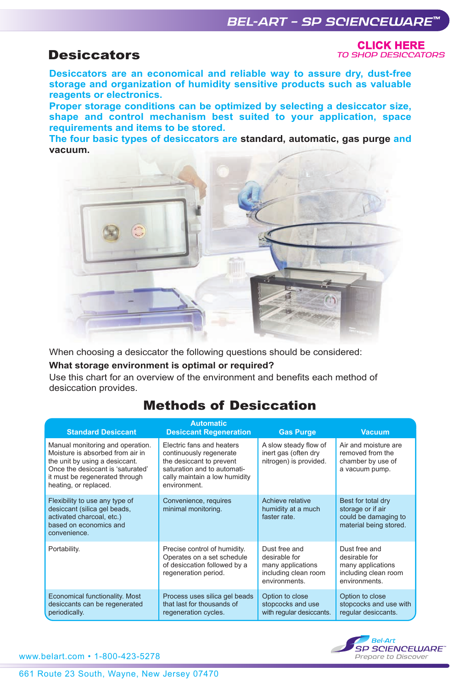# *BEL-ART – SP SCIENCEWARE™*

# **Desiccators**

**CliCk Here** *[TO SHOP DESICCATORS](https://www.belart.com/suggested-search/product/desiccators.html)*

**Desiccators are an economical and reliable way to assure dry, dust-free storage and organization of humidity sensitive products such as valuable reagents or electronics.** 

**Proper storage conditions can be optimized by selecting a desiccator size, shape and control mechanism best suited to your application, space requirements and items to be stored.** 

**The four basic types of desiccators are standard, automatic, gas purge and vacuum.**



When choosing a desiccator the following questions should be considered:

## **What storage environment is optimal or required?**

Use this chart for an overview of the environment and benefits each method of desiccation provides.

# Methods of Desiccation

| <b>Standard Desiccant</b>                                                                                                                                                                              | <b>Automatic</b><br><b>Desiccant Regeneration</b>                                                                                                                | <b>Gas Purge</b>                                                                             | <b>Vacuum</b>                                                                                |  |
|--------------------------------------------------------------------------------------------------------------------------------------------------------------------------------------------------------|------------------------------------------------------------------------------------------------------------------------------------------------------------------|----------------------------------------------------------------------------------------------|----------------------------------------------------------------------------------------------|--|
| Manual monitoring and operation.<br>Moisture is absorbed from air in<br>the unit by using a desiccant.<br>Once the desiccant is 'saturated'<br>it must be regenerated through<br>heating, or replaced. | Electric fans and heaters<br>continuously regenerate<br>the desiccant to prevent<br>saturation and to automati-<br>cally maintain a low humidity<br>environment. | A slow steady flow of<br>inert gas (often dry<br>nitrogen) is provided.                      | Air and moisture are<br>removed from the<br>chamber by use of<br>a vacuum pump.              |  |
| Flexibility to use any type of<br>desiccant (silica gel beads,<br>activated charcoal, etc.)<br>based on economics and<br>convenience.                                                                  | Convenience, requires<br>minimal monitoring.                                                                                                                     | Achieve relative<br>humidity at a much<br>faster rate.                                       | Best for total dry<br>storage or if air<br>could be damaging to<br>material being stored.    |  |
| Portability.                                                                                                                                                                                           | Precise control of humidity.<br>Operates on a set schedule<br>of desiccation followed by a<br>regeneration period.                                               | Dust free and<br>desirable for<br>many applications<br>including clean room<br>environments. | Dust free and<br>desirable for<br>many applications<br>including clean room<br>environments. |  |
| Economical functionality. Most<br>desiccants can be regenerated<br>periodically.                                                                                                                       | Process uses silica gel beads<br>that last for thousands of<br>regeneration cycles.                                                                              | Option to close<br>stopcocks and use<br>with regular desiccants.                             | Option to close<br>stopcocks and use with<br>regular desiccants.                             |  |

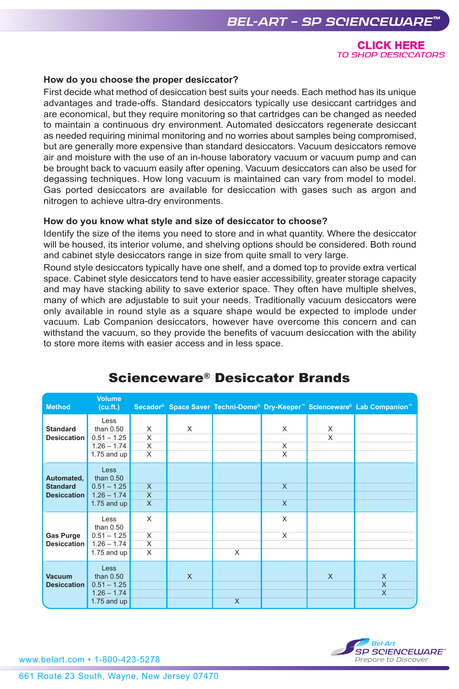**CliCk Here** *[TO SHOP DESICCATORS](https://www.belart.com/suggested-search/product/desiccators.html)*

### **How do you choose the proper desiccator?**

First decide what method of desiccation best suits your needs. Each method has its unique advantages and trade-offs. Standard desiccators typically use desiccant cartridges and are economical, but they require monitoring so that cartridges can be changed as needed to maintain a continuous dry environment. Automated desiccators regenerate desiccant as needed requiring minimal monitoring and no worries about samples being compromised, but are generally more expensive than standard desiccators. Vacuum desiccators remove air and moisture with the use of an in-house laboratory vacuum or vacuum pump and can be brought back to vacuum easily after opening. Vacuum desiccators can also be used for degassing techniques. How long vacuum is maintained can vary from model to model. Gas ported desiccators are available for desiccation with gases such as argon and nitrogen to achieve ultra-dry environments.

#### **How do you know what style and size of desiccator to choose?**

Identify the size of the items you need to store and in what quantity. Where the desiccator will be housed, its interior volume, and shelving options should be considered. Both round and cabinet style desiccators range in size from quite small to very large.

Round style desiccators typically have one shelf, and a domed top to provide extra vertical space. Cabinet style desiccators tend to have easier accessibility, greater storage capacity and may have stacking ability to save exterior space. They often have multiple shelves, many of which are adjustable to suit your needs. Traditionally vacuum desiccators were only available in round style as a square shape would be expected to implode under vacuum. Lab Companion desiccators, however have overcome this concern and can withstand the vacuum, so they provide the benefits of vacuum desiccation with the ability to store more items with easier access and in less space.

| <b>Method</b>                                       | <b>Volume</b><br>(cu.fit.)                                                    |                                                                           |              |          |                                   |                              | Secador® Space Saver Techni-Dome® Dry-Keeper™ Scienceware® Lab Companion™ |
|-----------------------------------------------------|-------------------------------------------------------------------------------|---------------------------------------------------------------------------|--------------|----------|-----------------------------------|------------------------------|---------------------------------------------------------------------------|
| <b>Standard</b><br>Desiccation                      | Less<br>than $0.50$<br>$0.51 - 1.25$<br>$1.26 - 1.74$<br>$1.75$ and up        | X<br>$\overline{\mathsf{x}}$<br>$\overline{\mathsf{x}}$<br>$\overline{X}$ | X            |          | X<br>X<br>$\overline{\mathsf{x}}$ | X<br>$\overline{\mathsf{x}}$ |                                                                           |
| Automated,<br><b>Standard</b><br><b>Desiccation</b> | <b>Less</b><br>than $0.50$<br>$0.51 - 1.25$<br>$1.26 - 1.74$<br>1.75 and $up$ | $\overline{\mathsf{x}}$<br>$\overline{X}$<br>$\overline{\mathsf{x}}$      |              |          | $\overline{X}$<br>$\mathsf{X}$    |                              |                                                                           |
| Gas Purge<br><b>Desiccation</b>                     | Less<br>than $0.50$<br>$0.51 - 1.25$<br>$1.26 - 1.74$<br>$1.75$ and up        | X<br>$\overline{\mathsf{x}}$<br>$\overline{\mathsf{x}}$<br>$\times$       |              | $\times$ | X<br>X                            |                              |                                                                           |
| <b>Vacuum</b><br><b>Desiccation</b>                 | <b>Less</b><br>than $0.50$<br>$0.51 - 1.25$<br>$1.26 - 1.74$<br>1.75 and $up$ |                                                                           | $\mathsf{X}$ | $\times$ |                                   | $\mathsf{x}$                 | X<br>$\overline{\mathsf{x}}$<br>$\overline{X}$                            |

# Scienceware® Desiccator Brands



www.belart.com • 1-800-423-5278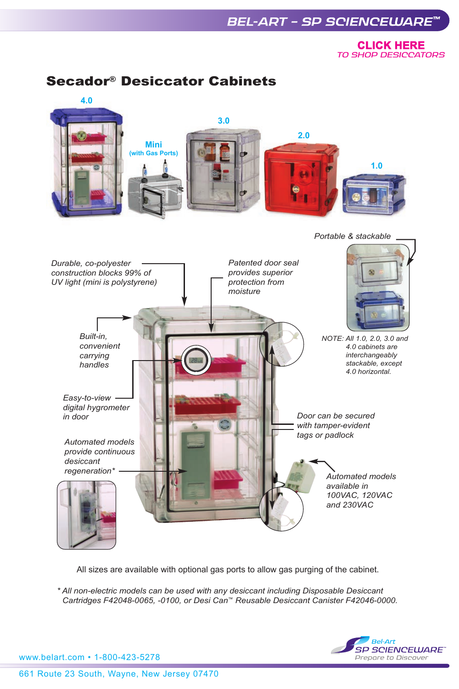# *BEL-ART – SP SCIENCEWARE™*

**CliCk Here** *[TO SHOP DESICCATORS](https://www.belart.com/suggested-search/product/desiccators.html)*

# Secador® Desiccator Cabinets



All sizes are available with optional gas ports to allow gas purging of the cabinet.

*\* All non-electric models can be used with any desiccant including Disposable Desiccant Cartridges F42048-0065, -0100, or Desi Can™ Reusable Desiccant Canister F42046-0000.*



www.belart.com • 1-800-423-5278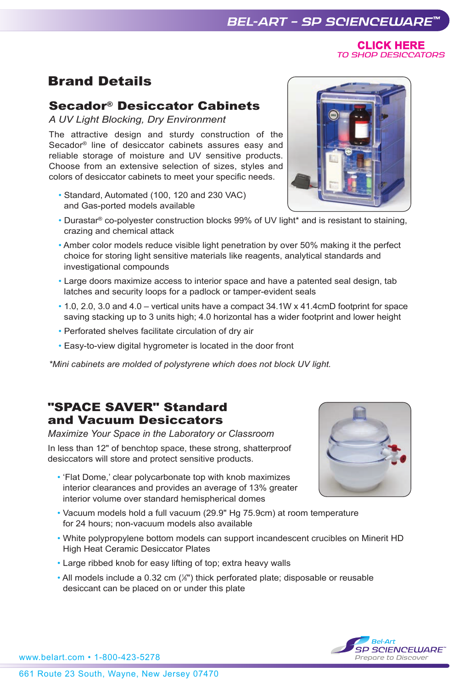**CliCk Here** *[TO SHOP DESICCATORS](https://www.belart.com/suggested-search/product/desiccators.html)*

# Brand Details

# Secador® Desiccator Cabinets

*A UV Light Blocking, Dry Environment*

The attractive design and sturdy construction of the Secador® line of desiccator cabinets assures easy and reliable storage of moisture and UV sensitive products. Choose from an extensive selection of sizes, styles and colors of desiccator cabinets to meet your specific needs.

- Standard, Automated (100, 120 and 230 VAC) and Gas-ported models available
- Durastar® co-polyester construction blocks 99% of UV light\* and is resistant to staining, crazing and chemical attack
- Amber color models reduce visible light penetration by over 50% making it the perfect choice for storing light sensitive materials like reagents, analytical standards and investigational compounds
- Large doors maximize access to interior space and have a patented seal design, tab latches and security loops for a padlock or tamper-evident seals
- 1.0, 2.0, 3.0 and 4.0 vertical units have a compact 34.1W x 41.4cmD footprint for space saving stacking up to 3 units high; 4.0 horizontal has a wider footprint and lower height
- Perforated shelves facilitate circulation of dry air
- Easy-to-view digital hygrometer is located in the door front

*\*Mini cabinets are molded of polystyrene which does not block UV light.* 

# "SPACE SAVER" Standard and Vacuum Desiccators

*Maximize Your Space in the Laboratory or Classroom*

In less than 12" of benchtop space, these strong, shatterproof desiccators will store and protect sensitive products.

- 'Flat Dome,' clear polycarbonate top with knob maximizes interior clearances and provides an average of 13% greater interior volume over standard hemispherical domes
- Vacuum models hold a full vacuum (29.9" Hg 75.9cm) at room temperature for 24 hours; non-vacuum models also available
- White polypropylene bottom models can support incandescent crucibles on Minerit HD High Heat Ceramic Desiccator Plates
- Large ribbed knob for easy lifting of top; extra heavy walls
- All models include a 0.32 cm  $(\mathcal{E})$  thick perforated plate; disposable or reusable desiccant can be placed on or under this plate





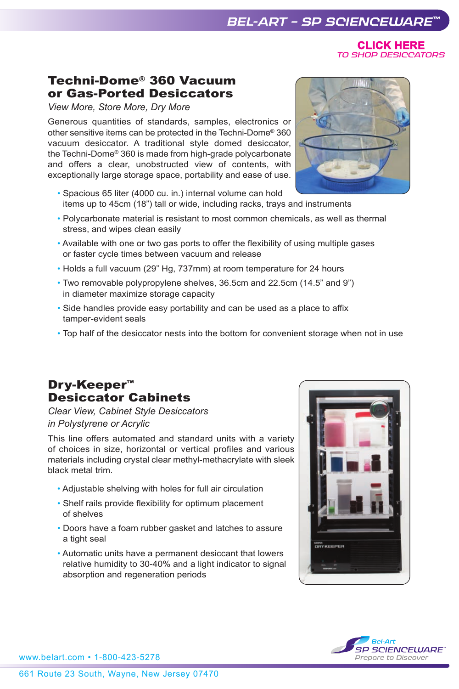661 Route 23 South, Wayne, New Jersey 07470

# *BEL-ART – SP SCIENCEWARE™*

**CliCk Here** *[TO SHOP DESICCATORS](https://www.belart.com/suggested-search/product/desiccators.html)*

## Techni-Dome® 360 Vacuum or Gas-Ported Desiccators

*View More, Store More, Dry More*

Generous quantities of standards, samples, electronics or other sensitive items can be protected in the Techni-Dome® 360 vacuum desiccator. A traditional style domed desiccator, the Techni-Dome® 360 is made from high-grade polycarbonate and offers a clear, unobstructed view of contents, with exceptionally large storage space, portability and ease of use.

- Spacious 65 liter (4000 cu. in.) internal volume can hold items up to 45cm (18") tall or wide, including racks, trays and instruments
- Polycarbonate material is resistant to most common chemicals, as well as thermal stress, and wipes clean easily
- Available with one or two gas ports to offer the flexibility of using multiple gases or faster cycle times between vacuum and release
- Holds a full vacuum (29" Hg, 737mm) at room temperature for 24 hours
- Two removable polypropylene shelves, 36.5cm and 22.5cm (14.5" and 9") in diameter maximize storage capacity
- Side handles provide easy portability and can be used as a place to affix tamper-evident seals
- Top half of the desiccator nests into the bottom for convenient storage when not in use

# Dry-Keeper™ Desiccator Cabinets

*Clear View, Cabinet Style Desiccators in Polystyrene or Acrylic*

This line offers automated and standard units with a variety of choices in size, horizontal or vertical profiles and various materials including crystal clear methyl-methacrylate with sleek black metal trim.

- Adjustable shelving with holes for full air circulation
- Shelf rails provide flexibility for optimum placement of shelves
- Doors have a foam rubber gasket and latches to assure a tight seal
- Automatic units have a permanent desiccant that lowers relative humidity to 30-40% and a light indicator to signal absorption and regeneration periods